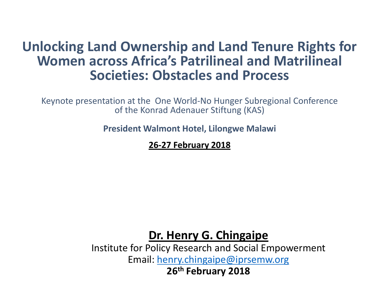### **Unlocking Land Ownership and Land Tenure Rights for Women across Africa's Patrilineal and Matrilineal Societies: Obstacles and Process**

Keynote presentation at the One World-No Hunger Subregional Conference of the Konrad Adenauer Stiftung (KAS)

**President Walmont Hotel, Lilongwe Malawi**

**26-27 February 2018** 

**Dr. Henry G. Chingaipe**

Institute for Policy Research and Social Empowerment Email: [henry.chingaipe@iprsemw.org](mailto:henry.chingaipe@iprsemw.org) **26th February 2018**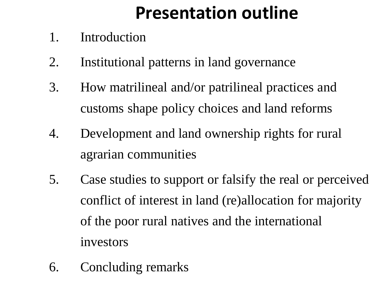# **Presentation outline**

- 1. Introduction
- 2. Institutional patterns in land governance
- 3. How matrilineal and/or patrilineal practices and customs shape policy choices and land reforms
- 4. Development and land ownership rights for rural agrarian communities
- 5. Case studies to support or falsify the real or perceived conflict of interest in land (re)allocation for majority of the poor rural natives and the international investors
- 6. Concluding remarks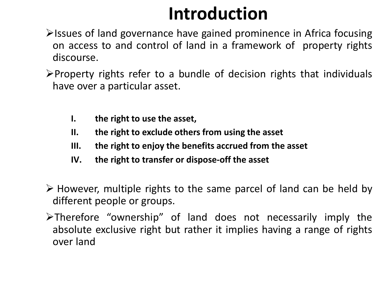# **Introduction**

- **Example 3 Figure 13 Series 2018** Strates in Africa focusing  $\triangleright$  issues of land governance have gained prominence in Africa focusing on access to and control of land in a framework of property rights discourse.
- $\triangleright$  Property rights refer to a bundle of decision rights that individuals have over a particular asset.
	- **I. the right to use the asset,**
	- **II. the right to exclude others from using the asset**
	- **III. the right to enjoy the benefits accrued from the asset**
	- **IV. the right to transfer or dispose-off the asset**
- $\triangleright$  However, multiple rights to the same parcel of land can be held by different people or groups.
- Therefore "ownership" of land does not necessarily imply the absolute exclusive right but rather it implies having a range of rights over land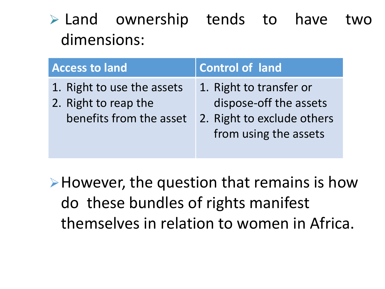$\triangleright$  Land ownership tends to have two dimensions:

| <b>Access to land</b>                                                         | <b>Control of land</b>                                                                                   |
|-------------------------------------------------------------------------------|----------------------------------------------------------------------------------------------------------|
| 1. Right to use the assets<br>2. Right to reap the<br>benefits from the asset | 1. Right to transfer or<br>dispose-off the assets<br>2. Right to exclude others<br>from using the assets |

However, the question that remains is how do these bundles of rights manifest themselves in relation to women in Africa.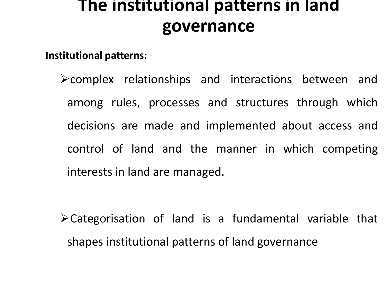## **The institutional patterns in land governance**

**Institutional patterns:** 

 $\triangleright$  complex relationships and interactions between and among rules, processes and structures through which decisions are made and implemented about access and control of land and the manner in which competing interests in land are managed.

Categorisation of land is a fundamental variable that shapes institutional patterns of land governance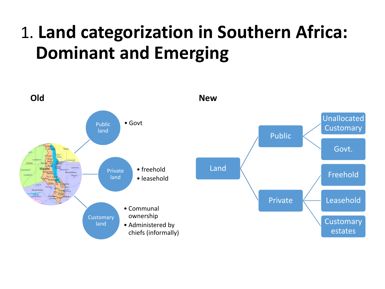# 1. **Land categorization in Southern Africa: Dominant and Emerging**

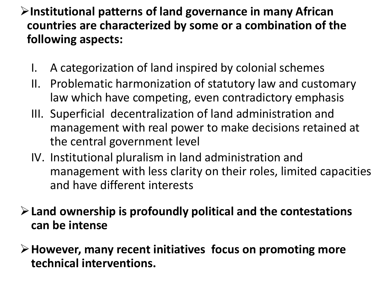#### **Institutional patterns of land governance in many African countries are characterized by some or a combination of the following aspects:**

- I. A categorization of land inspired by colonial schemes
- II. Problematic harmonization of statutory law and customary law which have competing, even contradictory emphasis
- III. Superficial decentralization of land administration and management with real power to make decisions retained at the central government level
- IV. Institutional pluralism in land administration and management with less clarity on their roles, limited capacities and have different interests
- **Land ownership is profoundly political and the contestations can be intense**
- **However, many recent initiatives focus on promoting more technical interventions.**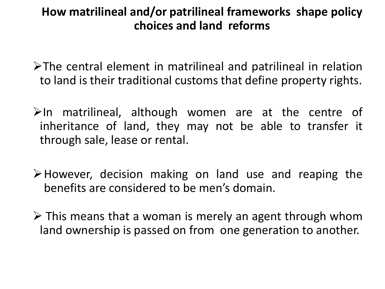#### **How matrilineal and/or patrilineal frameworks shape policy choices and land reforms**

- $\triangleright$ The central element in matrilineal and patrilineal in relation to land is their traditional customs that define property rights.
- $\triangleright$ In matrilineal, although women are at the centre of inheritance of land, they may not be able to transfer it through sale, lease or rental.
- However, decision making on land use and reaping the benefits are considered to be men's domain.
- $\triangleright$  This means that a woman is merely an agent through whom land ownership is passed on from one generation to another.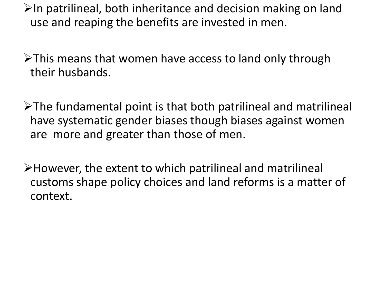$\triangleright$ In patrilineal, both inheritance and decision making on land use and reaping the benefits are invested in men.

 $\triangleright$ This means that women have access to land only through their husbands.

 $\triangleright$ The fundamental point is that both patrilineal and matrilineal have systematic gender biases though biases against women are more and greater than those of men.

However, the extent to which patrilineal and matrilineal customs shape policy choices and land reforms is a matter of context.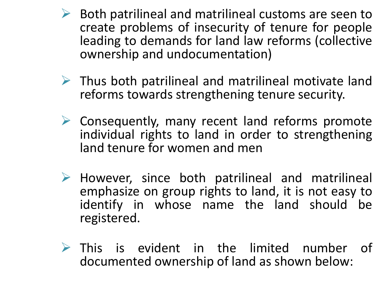- $\triangleright$  Both patrilineal and matrilineal customs are seen to create problems of insecurity of tenure for people leading to demands for land law reforms (collective ownership and undocumentation)
- $\triangleright$  Thus both patrilineal and matrilineal motivate land reforms towards strengthening tenure security.
- $\triangleright$  Consequently, many recent land reforms promote individual rights to land in order to strengthening land tenure for women and men
- $\triangleright$  However, since both patrilineal and matrilineal emphasize on group rights to land, it is not easy to identify in whose name the land should be registered.
- $\triangleright$  This is evident in the limited number of documented ownership of land as shown below: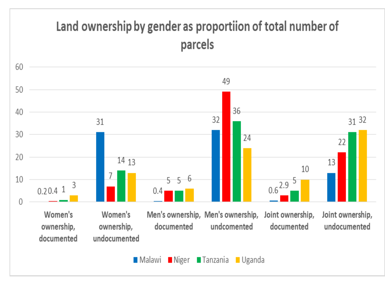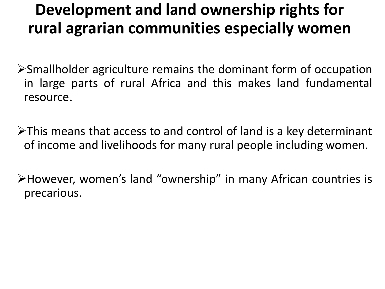## **Development and land ownership rights for rural agrarian communities especially women**

- Smallholder agriculture remains the dominant form of occupation in large parts of rural Africa and this makes land fundamental resource.
- $\triangleright$ This means that access to and control of land is a key determinant of income and livelihoods for many rural people including women.

However, women's land "ownership" in many African countries is precarious.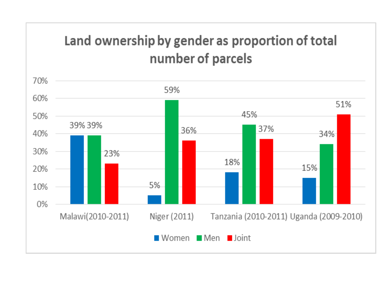### Land ownership by gender as proportion of total number of parcels

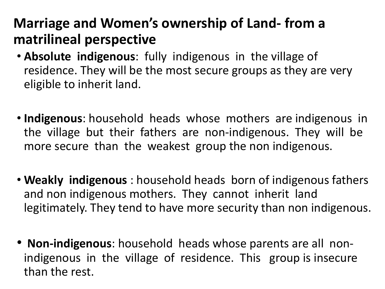### **Marriage and Women's ownership of Land- from a matrilineal perspective**

- **Absolute indigenous**: fully indigenous in the village of residence. They will be the most secure groups as they are very eligible to inherit land.
- **Indigenous**: household heads whose mothers are indigenous in the village but their fathers are non-indigenous. They will be more secure than the weakest group the non indigenous.
- **Weakly indigenous** : household heads born of indigenous fathers and non indigenous mothers. They cannot inherit land legitimately. They tend to have more security than non indigenous.
- **Non-indigenous**: household heads whose parents are all nonindigenous in the village of residence. This group is insecure than the rest.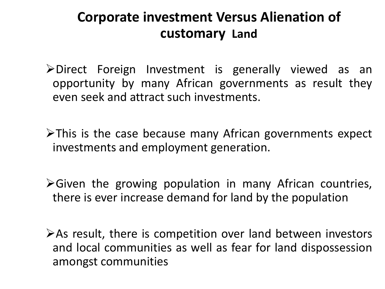### **Corporate investment Versus Alienation of customary Land**

- Direct Foreign Investment is generally viewed as an opportunity by many African governments as result they even seek and attract such investments.
- $\triangleright$ This is the case because many African governments expect investments and employment generation.
- Given the growing population in many African countries, there is ever increase demand for land by the population
- $\triangleright$  As result, there is competition over land between investors and local communities as well as fear for land dispossession amongst communities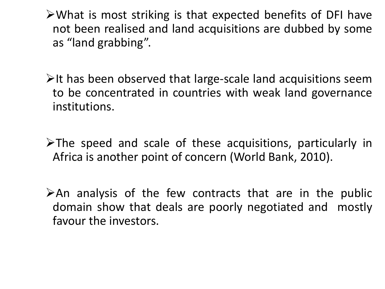What is most striking is that expected benefits of DFI have not been realised and land acquisitions are dubbed by some as "land grabbing".

- $\triangleright$ It has been observed that large-scale land acquisitions seem to be concentrated in countries with weak land governance institutions.
- $\triangleright$ The speed and scale of these acquisitions, particularly in Africa is another point of concern (World Bank, 2010).
- $\triangleright$  An analysis of the few contracts that are in the public domain show that deals are poorly negotiated and mostly favour the investors.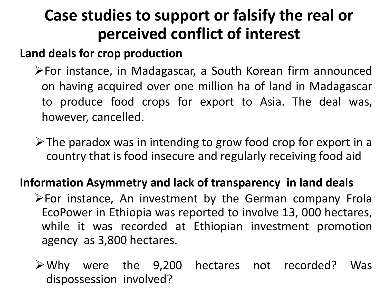## **Case studies to support or falsify the real or perceived conflict of interest**

#### **Land deals for crop production**

- For instance, in Madagascar, a South Korean firm announced on having acquired over one million ha of land in Madagascar to produce food crops for export to Asia. The deal was, however, cancelled.
- $\triangleright$  The paradox was in intending to grow food crop for export in a country that is food insecure and regularly receiving food aid

#### **Information Asymmetry and lack of transparency in land deals**

- $\triangleright$  For instance, An investment by the German company Frola EcoPower in Ethiopia was reported to involve 13, 000 hectares, while it was recorded at Ethiopian investment promotion agency as 3,800 hectares.
- Why were the 9,200 hectares not recorded? Was dispossession involved?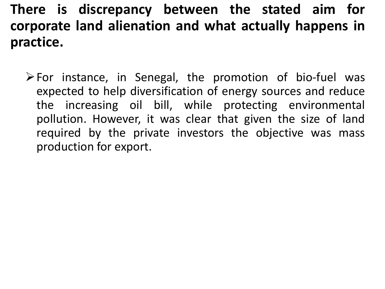### **There is discrepancy between the stated aim for corporate land alienation and what actually happens in practice.**

 $\triangleright$  For instance, in Senegal, the promotion of bio-fuel was expected to help diversification of energy sources and reduce the increasing oil bill, while protecting environmental pollution. However, it was clear that given the size of land required by the private investors the objective was mass production for export.